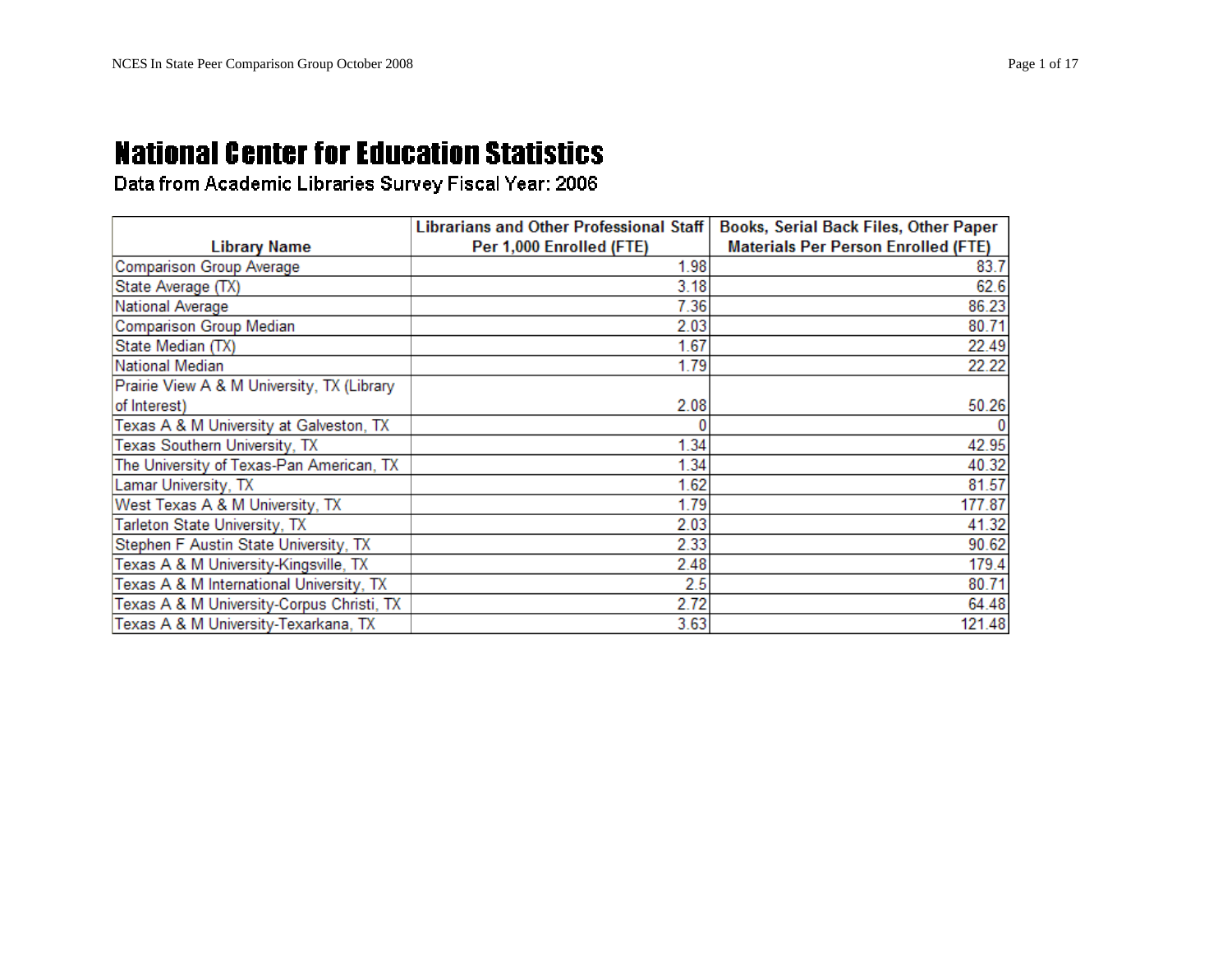|                                            | <b>Librarians and Other Professional Staff</b> | <b>Books, Serial Back Files, Other Paper</b> |
|--------------------------------------------|------------------------------------------------|----------------------------------------------|
| <b>Library Name</b>                        | Per 1,000 Enrolled (FTE)                       | <b>Materials Per Person Enrolled (FTE)</b>   |
| Comparison Group Average                   | 1.98                                           | 83.7                                         |
| State Average (TX)                         | 3.18                                           | 62.6                                         |
| National Average                           | 7.36                                           | 86.23                                        |
| Comparison Group Median                    | 2.03                                           | 80.71                                        |
| State Median (TX)                          | 1.67                                           | 22.49                                        |
| National Median                            | 1.79                                           | 22.22                                        |
| Prairie View A & M University, TX (Library |                                                |                                              |
| of Interest)                               | 2.08                                           | 50.26                                        |
| Texas A & M University at Galveston, TX    |                                                |                                              |
| Texas Southern University, TX              | 1.34                                           | 42.95                                        |
| The University of Texas-Pan American, TX   | 1.34                                           | 40.32                                        |
| Lamar University, TX                       | 1.62                                           | 81.57                                        |
| West Texas A & M University, TX            | 1.79                                           | 177.87                                       |
| Tarleton State University, TX              | 2.03                                           | 41.32                                        |
| Stephen F Austin State University, TX      | 2.33                                           | 90.62                                        |
| Texas A & M University-Kingsville, TX      | 2.48                                           | 179.4                                        |
| Texas A & M International University, TX   | 2.5                                            | 80.71                                        |
| Texas A & M University-Corpus Christi, TX  | 2.72                                           | 64.48                                        |
| Texas A & M University-Texarkana, TX       | 3.63                                           | 121.48                                       |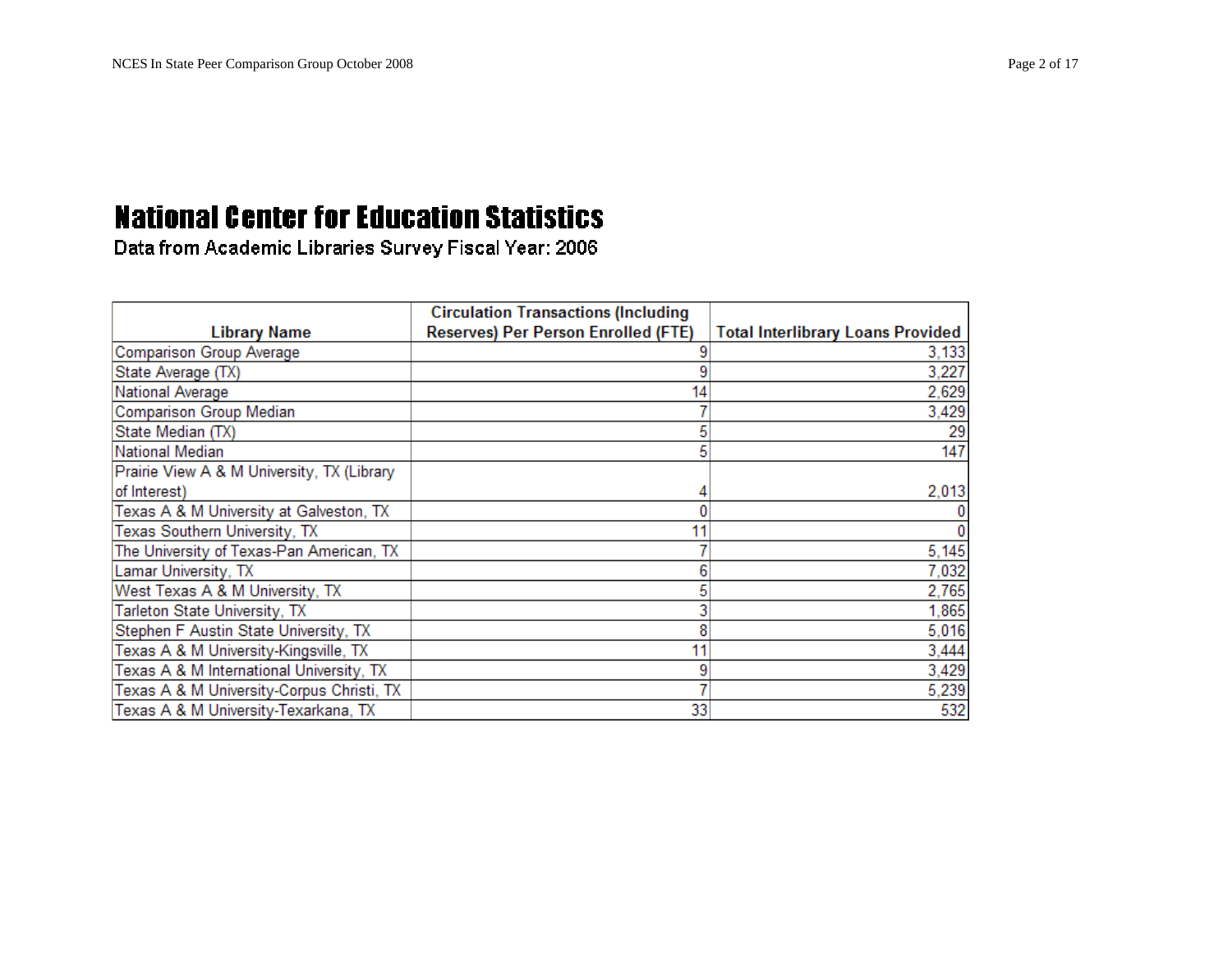|                                            | <b>Circulation Transactions (Including</b> |                                          |
|--------------------------------------------|--------------------------------------------|------------------------------------------|
| <b>Library Name</b>                        | Reserves) Per Person Enrolled (FTE)        | <b>Total Interlibrary Loans Provided</b> |
| Comparison Group Average                   |                                            | 3,133                                    |
| State Average (TX)                         |                                            | 3,227                                    |
| National Average                           | 14                                         | 2,629                                    |
| Comparison Group Median                    |                                            | 3,429                                    |
| State Median (TX)                          |                                            | 29                                       |
| National Median                            |                                            | 147                                      |
| Prairie View A & M University, TX (Library |                                            |                                          |
| of Interest)                               |                                            | 2,013                                    |
| Texas A & M University at Galveston, TX    |                                            |                                          |
| Texas Southern University, TX              |                                            |                                          |
| The University of Texas-Pan American, TX   |                                            | 5,145                                    |
| Lamar University, TX                       |                                            | 7,032                                    |
| West Texas A & M University, TX            |                                            | 2,765                                    |
| Tarleton State University, TX              |                                            | 1,865                                    |
| Stephen F Austin State University, TX      |                                            | 5,016                                    |
| Texas A & M University-Kingsville, TX      |                                            | 3,444                                    |
| Texas A & M International University, TX   |                                            | 3,429                                    |
| Texas A & M University-Corpus Christi, TX  |                                            | 5,239                                    |
| Texas A & M University-Texarkana, TX       | 33                                         | 532                                      |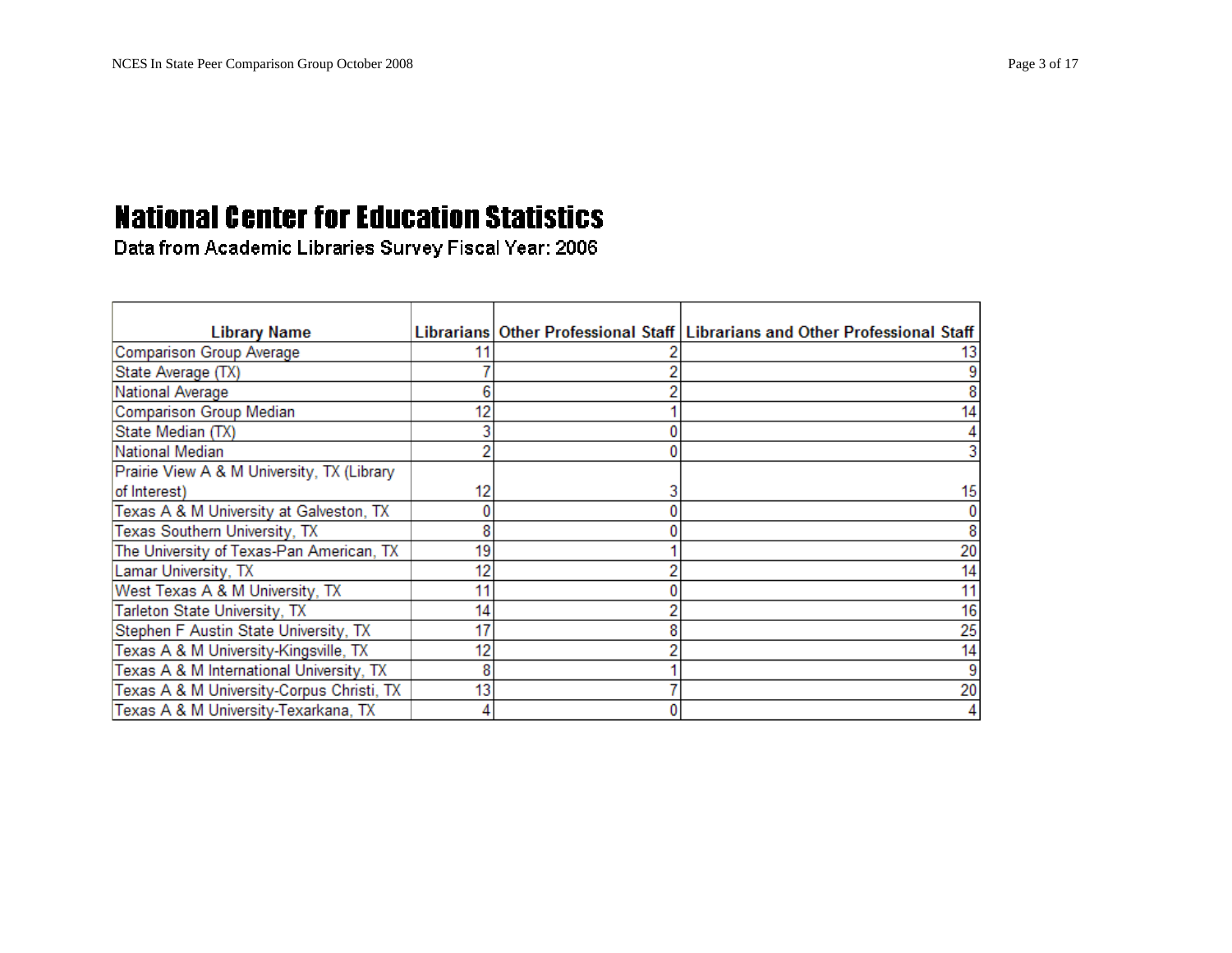| <b>Library Name</b>                        |    | Librarians Other Professional Staff   Librarians and Other Professional Staff |
|--------------------------------------------|----|-------------------------------------------------------------------------------|
| Comparison Group Average                   |    |                                                                               |
| State Average (TX)                         |    |                                                                               |
| National Average                           |    |                                                                               |
| Comparison Group Median                    |    |                                                                               |
| State Median (TX)                          |    |                                                                               |
| National Median                            |    |                                                                               |
| Prairie View A & M University, TX (Library |    |                                                                               |
| of Interest)                               | 12 | 15                                                                            |
| Texas A & M University at Galveston, TX    |    |                                                                               |
| Texas Southern University, TX              |    |                                                                               |
| The University of Texas-Pan American, TX   | 19 | 20                                                                            |
| Lamar University, TX                       | 12 | 14                                                                            |
| West Texas A & M University, TX            | 11 |                                                                               |
| Tarleton State University, TX              | 14 | 16                                                                            |
| Stephen F Austin State University, TX      | 17 | 25                                                                            |
| Texas A & M University-Kingsville, TX      | 12 | 14                                                                            |
| Texas A & M International University, TX   | 8  |                                                                               |
| Texas A & M University-Corpus Christi, TX  | 13 | 20                                                                            |
| Texas A & M University-Texarkana, TX       |    |                                                                               |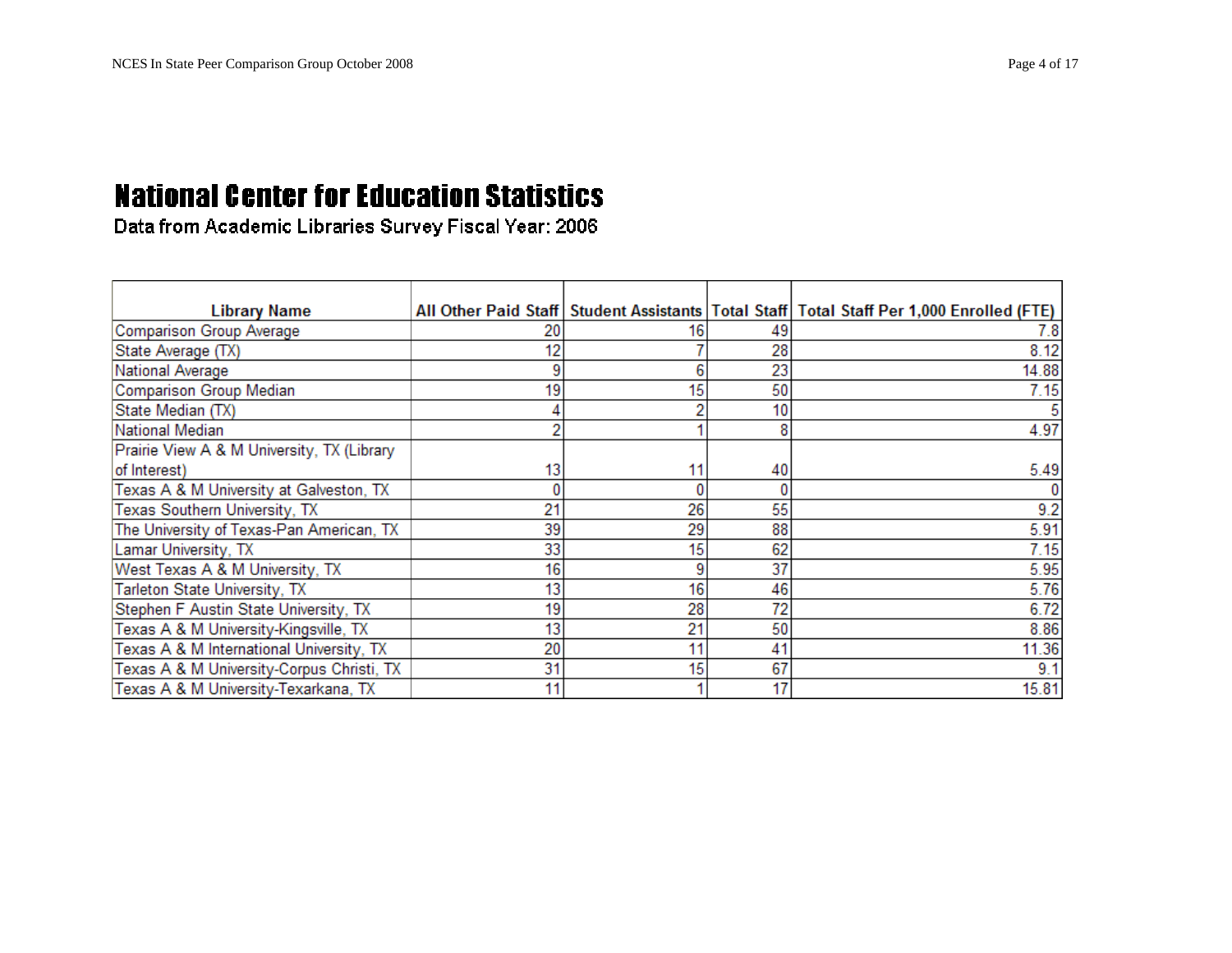| <b>Library Name</b>                        |    |    |    | All Other Paid Staff   Student Assistants   Total Staff   Total Staff Per 1,000 Enrolled (FTE) |
|--------------------------------------------|----|----|----|------------------------------------------------------------------------------------------------|
| Comparison Group Average                   | 20 | 16 | 49 | 7.8                                                                                            |
| State Average (TX)                         | 12 |    | 28 | 8.12                                                                                           |
| National Average                           |    | 6  | 23 | 14.88                                                                                          |
| Comparison Group Median                    | 19 | 15 | 50 | 7.15                                                                                           |
| State Median (TX)                          |    |    | 10 |                                                                                                |
| National Median                            |    |    | 8  | 4.97                                                                                           |
| Prairie View A & M University, TX (Library |    |    |    |                                                                                                |
| of Interest)                               | 13 | 11 | 40 | 5.49                                                                                           |
| Texas A & M University at Galveston, TX    |    |    |    |                                                                                                |
| Texas Southern University, TX              | 21 | 26 | 55 | 9.2                                                                                            |
| The University of Texas-Pan American, TX   | 39 | 29 | 88 | 5.91                                                                                           |
| Lamar University, TX                       | 33 | 15 | 62 | 7.15                                                                                           |
| West Texas A & M University, TX            | 16 | 9  | 37 | 5.95                                                                                           |
| Tarleton State University, TX              | 13 | 16 | 46 | 5.76                                                                                           |
| Stephen F Austin State University, TX      | 19 | 28 | 72 | 6.72                                                                                           |
| Texas A & M University-Kingsville, TX      | 13 | 21 | 50 | 8.86                                                                                           |
| Texas A & M International University, TX   | 20 | 11 | 41 | 11.36                                                                                          |
| Texas A & M University-Corpus Christi, TX  | 31 | 15 | 67 | 9.1                                                                                            |
| Texas A & M University-Texarkana, TX       | 11 |    | 17 | 15.81                                                                                          |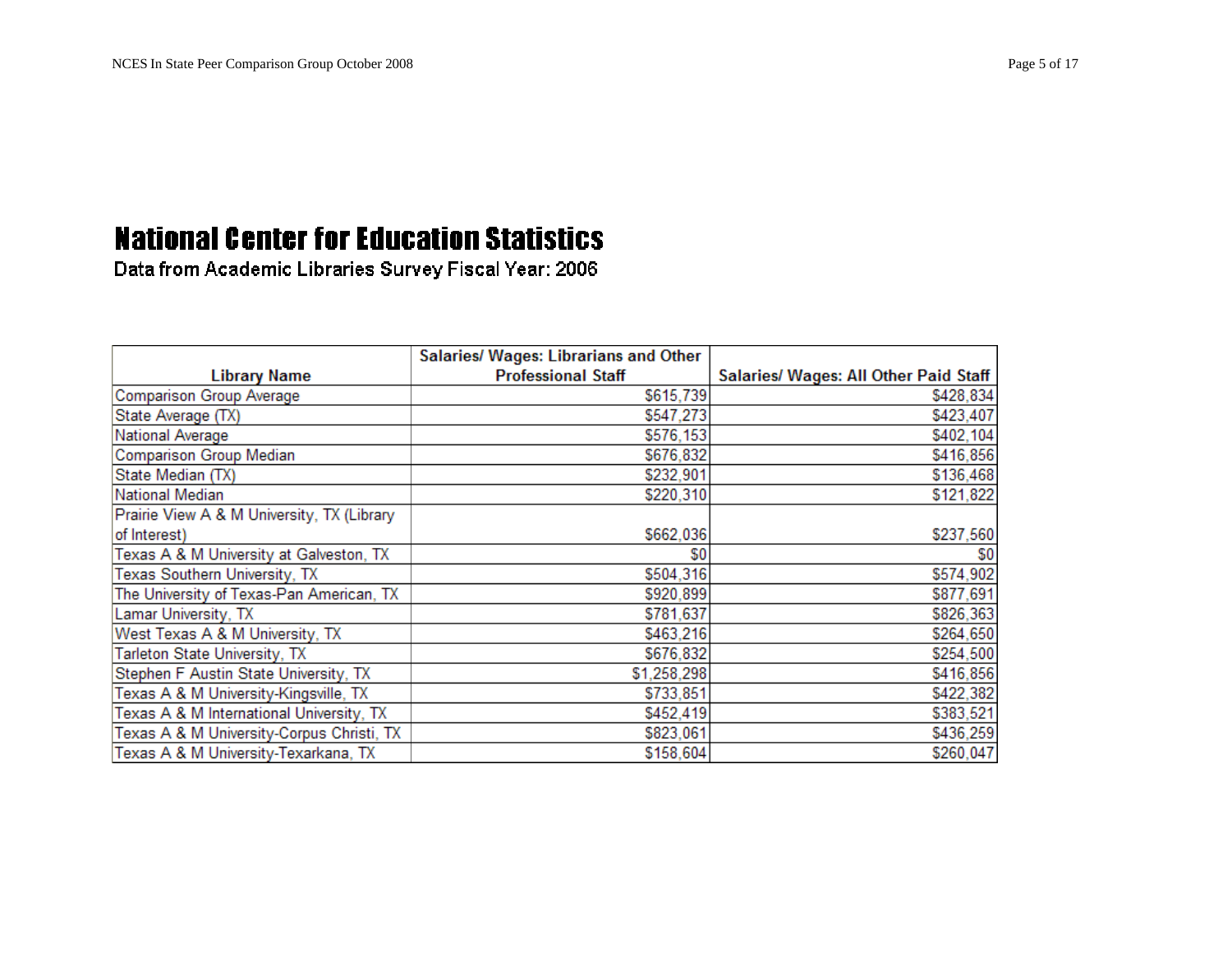|                                            | Salaries/ Wages: Librarians and Other |                                              |
|--------------------------------------------|---------------------------------------|----------------------------------------------|
| <b>Library Name</b>                        | <b>Professional Staff</b>             | <b>Salaries/ Wages: All Other Paid Staff</b> |
| <b>Comparison Group Average</b>            | \$615,739                             | \$428,834                                    |
| State Average (TX)                         | \$547,273                             | \$423,407                                    |
| National Average                           | \$576,153                             | \$402,104                                    |
| <b>Comparison Group Median</b>             | \$676,832                             | \$416,856                                    |
| State Median (TX)                          | \$232,901                             | \$136,468                                    |
| National Median                            | \$220,310                             | \$121,822                                    |
| Prairie View A & M University, TX (Library |                                       |                                              |
| of Interest)                               | \$662,036                             | \$237,560                                    |
| Texas A & M University at Galveston, TX    | \$0                                   | \$0                                          |
| Texas Southern University, TX              | \$504,316                             | \$574,902                                    |
| The University of Texas-Pan American, TX   | \$920,899                             | \$877,691                                    |
| Lamar University, TX                       | \$781,637                             | \$826,363                                    |
| West Texas A & M University, TX            | \$463,216                             | \$264,650                                    |
| Tarleton State University, TX              | \$676,832                             | \$254,500                                    |
| Stephen F Austin State University, TX      | \$1,258,298                           | \$416,856                                    |
| Texas A & M University-Kingsville, TX      | \$733,851                             | \$422,382                                    |
| Texas A & M International University, TX   | \$452,419                             | \$383,521                                    |
| Texas A & M University-Corpus Christi, TX  | \$823,061                             | \$436,259                                    |
| Texas A & M University-Texarkana, TX       | \$158,604                             | \$260,047                                    |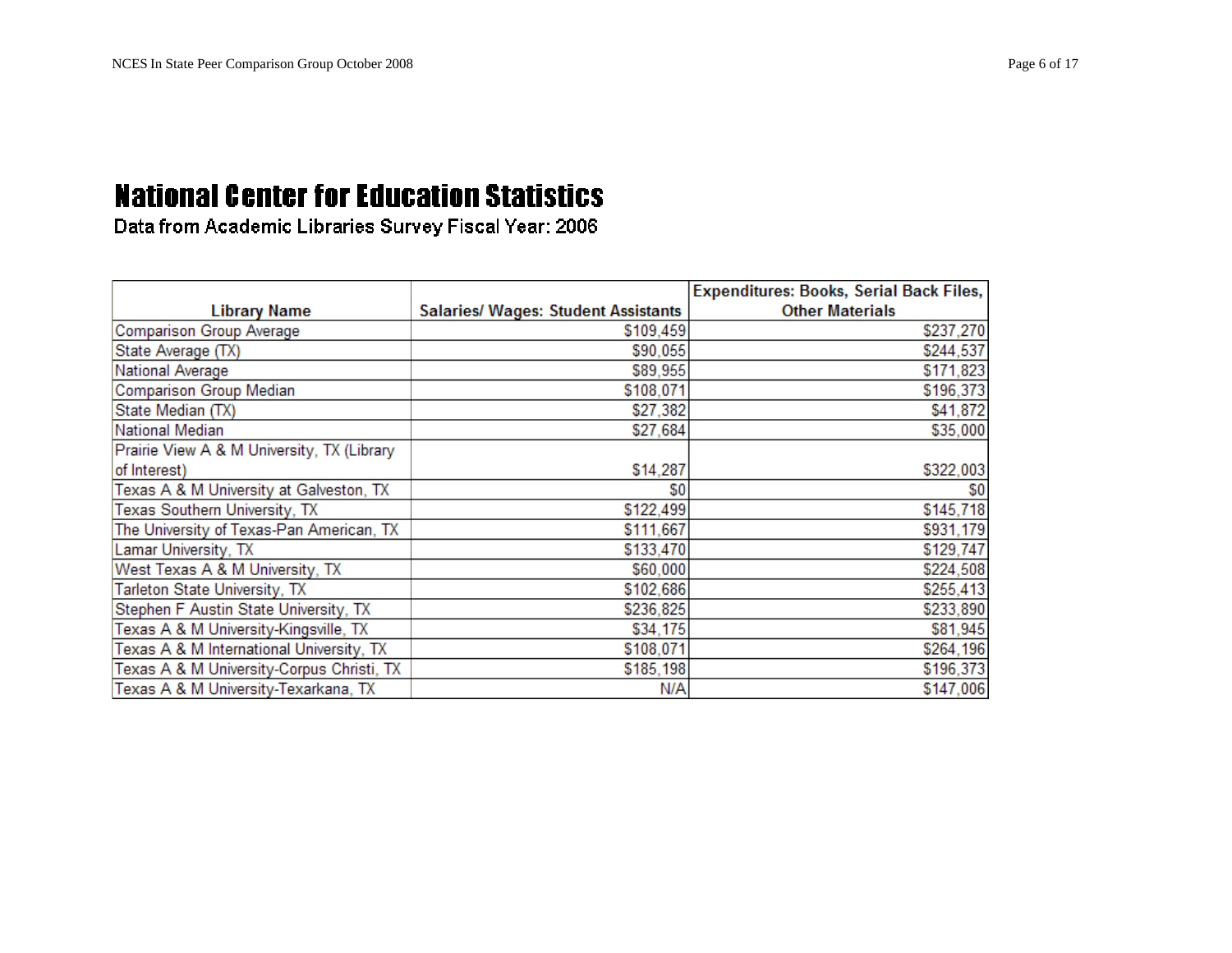|                                            |                                            | <b>Expenditures: Books, Serial Back Files,</b> |
|--------------------------------------------|--------------------------------------------|------------------------------------------------|
| <b>Library Name</b>                        | <b>Salaries/ Wages: Student Assistants</b> | <b>Other Materials</b>                         |
| Comparison Group Average                   | \$109,459                                  | \$237,270                                      |
| State Average (TX)                         | \$90,055                                   | \$244,537                                      |
| <b>National Average</b>                    | \$89,955                                   | \$171,823                                      |
| Comparison Group Median                    | \$108,071                                  | \$196,373                                      |
| State Median (TX)                          | \$27,382                                   | \$41,872                                       |
| National Median                            | \$27,684                                   | \$35,000                                       |
| Prairie View A & M University, TX (Library |                                            |                                                |
| of Interest)                               | \$14,287                                   | \$322,003                                      |
| Texas A & M University at Galveston, TX    | \$0                                        | \$0                                            |
| Texas Southern University, TX              | \$122,499                                  | \$145,718                                      |
| The University of Texas-Pan American, TX   | \$111,667                                  | \$931,179                                      |
| Lamar University, TX                       | \$133,470                                  | \$129,747                                      |
| West Texas A & M University, TX            | \$60,000                                   | \$224,508                                      |
| Tarleton State University, TX              | \$102,686                                  | \$255,413                                      |
| Stephen F Austin State University, TX      | \$236,825                                  | \$233,890                                      |
| Texas A & M University-Kingsville, TX      | \$34,175                                   | \$81,945                                       |
| Texas A & M International University, TX   | \$108,071                                  | \$264,196                                      |
| Texas A & M University-Corpus Christi, TX  | \$185,198                                  | \$196,373                                      |
| Texas A & M University-Texarkana, TX       | N/A                                        | \$147,006                                      |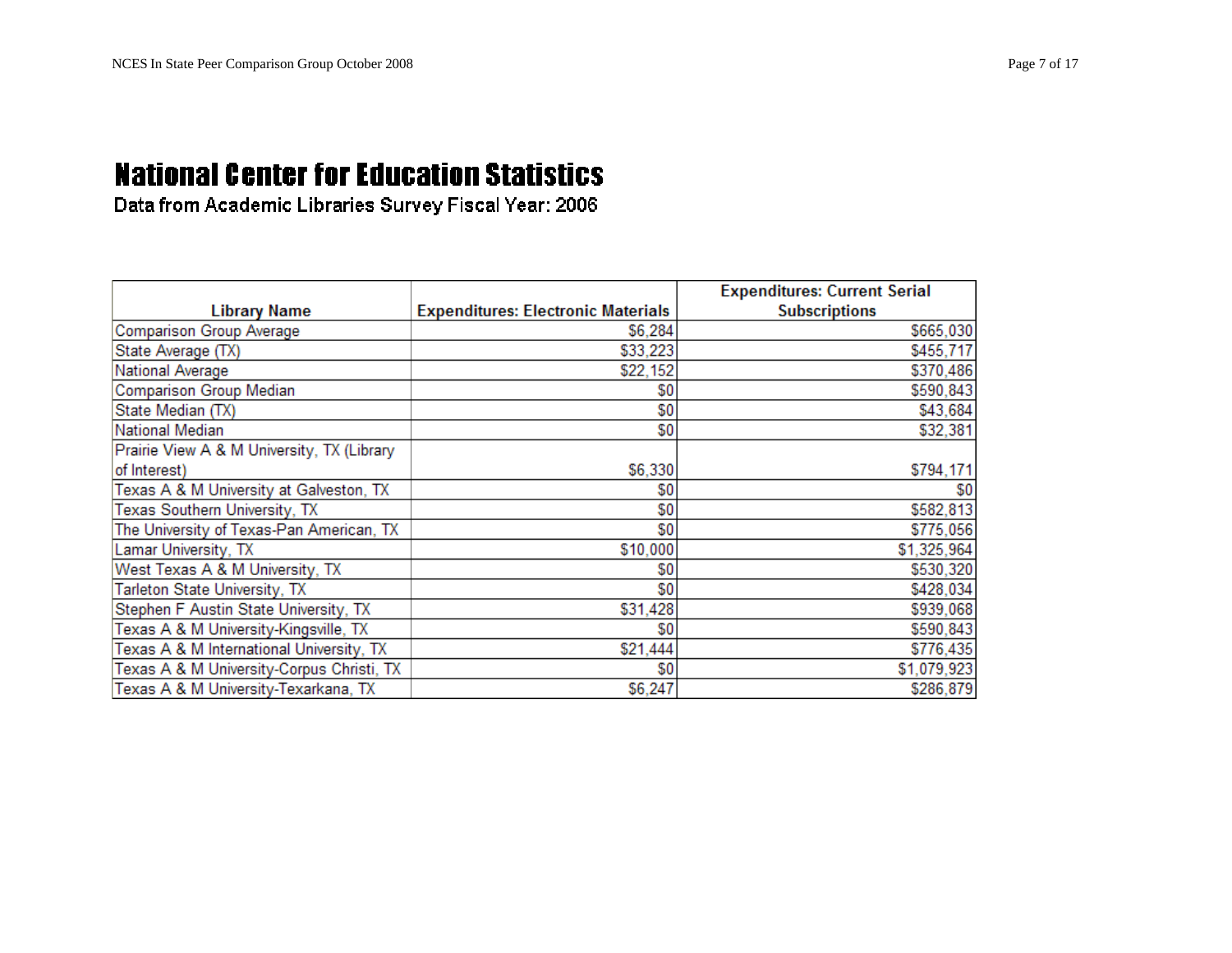|                                            |                                           | <b>Expenditures: Current Serial</b> |
|--------------------------------------------|-------------------------------------------|-------------------------------------|
| <b>Library Name</b>                        | <b>Expenditures: Electronic Materials</b> | <b>Subscriptions</b>                |
| Comparison Group Average                   | \$6,284                                   | \$665,030                           |
| State Average (TX)                         | \$33,223                                  | \$455,717                           |
| <b>National Average</b>                    | \$22,152                                  | \$370,486                           |
| Comparison Group Median                    | \$0                                       | \$590,843                           |
| State Median (TX)                          | \$0                                       | \$43,684                            |
| National Median                            | \$0                                       | \$32,381                            |
| Prairie View A & M University, TX (Library |                                           |                                     |
| of Interest)                               | \$6,330                                   | \$794,171                           |
| Texas A & M University at Galveston, TX    | \$0                                       | \$0                                 |
| Texas Southern University, TX              | \$0                                       | \$582,813                           |
| The University of Texas-Pan American, TX   | \$0                                       | \$775,056                           |
| Lamar University, TX                       | \$10,000                                  | \$1,325,964                         |
| West Texas A & M University, TX            | \$0                                       | \$530,320                           |
| Tarleton State University, TX              | \$0                                       | \$428,034                           |
| Stephen F Austin State University, TX      | \$31,428                                  | \$939,068                           |
| Texas A & M University-Kingsville, TX      | \$0                                       | \$590,843                           |
| Texas A & M International University, TX   | \$21,444                                  | \$776,435                           |
| Texas A & M University-Corpus Christi, TX  | \$0                                       | \$1,079,923                         |
| Texas A & M University-Texarkana, TX       | \$6,247                                   | \$286,879                           |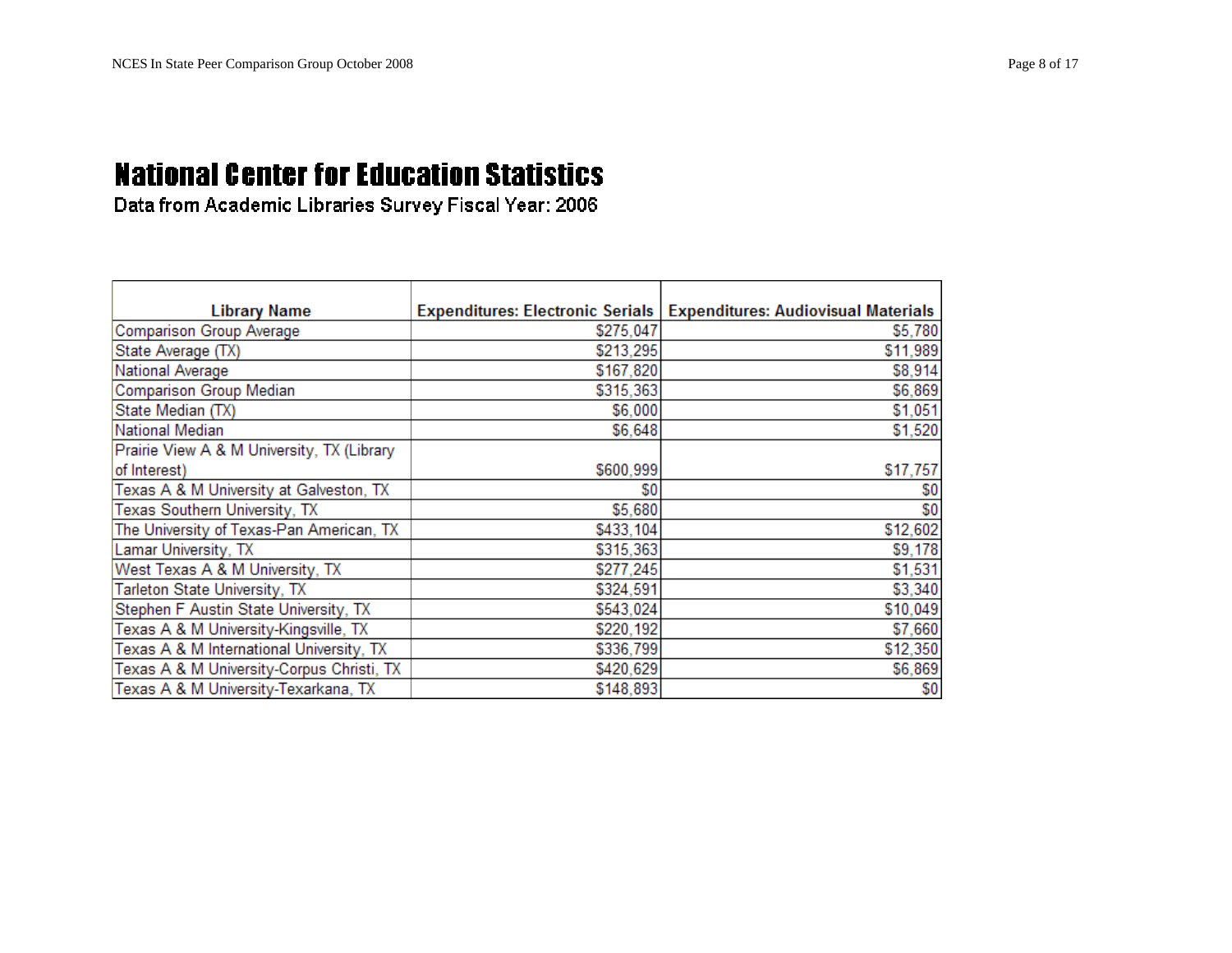| <b>Library Name</b>                        |           | Expenditures: Electronic Serials   Expenditures: Audiovisual Materials |
|--------------------------------------------|-----------|------------------------------------------------------------------------|
| Comparison Group Average                   | \$275,047 | \$5,780                                                                |
| State Average (TX)                         | \$213,295 | \$11,989                                                               |
| National Average                           | \$167,820 | \$8,914                                                                |
| <b>Comparison Group Median</b>             | \$315,363 | \$6,869                                                                |
| State Median (TX)                          | \$6,000   | \$1,051                                                                |
| National Median                            | \$6,648   | \$1,520                                                                |
| Prairie View A & M University, TX (Library |           |                                                                        |
| of Interest)                               | \$600,999 | \$17,757                                                               |
| Texas A & M University at Galveston, TX    | \$0       | \$0                                                                    |
| Texas Southern University, TX              | \$5,680   | \$0                                                                    |
| The University of Texas-Pan American, TX   | \$433,104 | \$12,602                                                               |
| Lamar University, TX                       | \$315,363 | \$9,178                                                                |
| West Texas A & M University, TX            | \$277,245 | \$1,531                                                                |
| Tarleton State University, TX              | \$324,591 | \$3,340                                                                |
| Stephen F Austin State University, TX      | \$543,024 | \$10,049                                                               |
| Texas A & M University-Kingsville, TX      | \$220,192 | \$7,660                                                                |
| Texas A & M International University, TX   | \$336,799 | \$12,350                                                               |
| Texas A & M University-Corpus Christi, TX  | \$420,629 | \$6,869                                                                |
| Texas A & M University-Texarkana, TX       | \$148,893 | \$0                                                                    |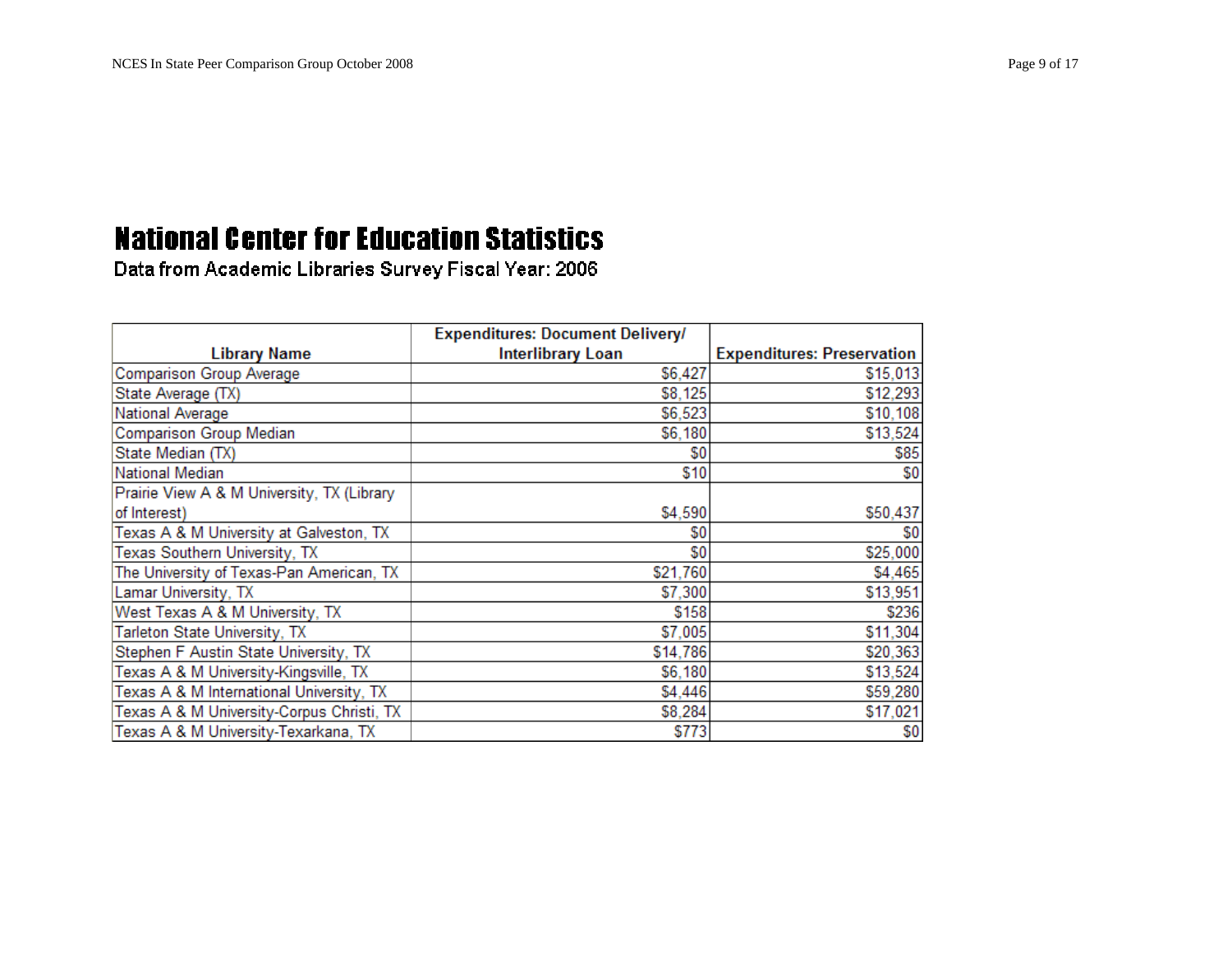|                                            | <b>Expenditures: Document Delivery/</b> |                                   |
|--------------------------------------------|-----------------------------------------|-----------------------------------|
| <b>Library Name</b>                        | <b>Interlibrary Loan</b>                | <b>Expenditures: Preservation</b> |
| Comparison Group Average                   | \$6,427                                 | \$15,013                          |
| State Average (TX)                         | \$8,125                                 | \$12,293                          |
| National Average                           | \$6,523                                 | \$10,108                          |
| Comparison Group Median                    | \$6,180                                 | \$13,524                          |
| State Median (TX)                          | \$0                                     | \$85                              |
| National Median                            | \$10                                    | \$0                               |
| Prairie View A & M University, TX (Library |                                         |                                   |
| of Interest)                               | \$4,590                                 | \$50,437                          |
| Texas A & M University at Galveston, TX    | \$0                                     | \$0                               |
| Texas Southern University, TX              | \$0                                     | \$25,000                          |
| The University of Texas-Pan American, TX   | \$21,760                                | \$4,465                           |
| Lamar University, TX                       | \$7,300                                 | \$13,951                          |
| West Texas A & M University, TX            | \$158                                   | \$236                             |
| Tarleton State University, TX              | \$7,005                                 | \$11,304                          |
| Stephen F Austin State University, TX      | \$14,786                                | \$20,363                          |
| Texas A & M University-Kingsville, TX      | \$6,180                                 | \$13,524                          |
| Texas A & M International University, TX   | \$4,446                                 | \$59,280                          |
| Texas A & M University-Corpus Christi, TX  | \$8,284                                 | \$17,021                          |
| Texas A & M University-Texarkana, TX       | \$773                                   | \$0                               |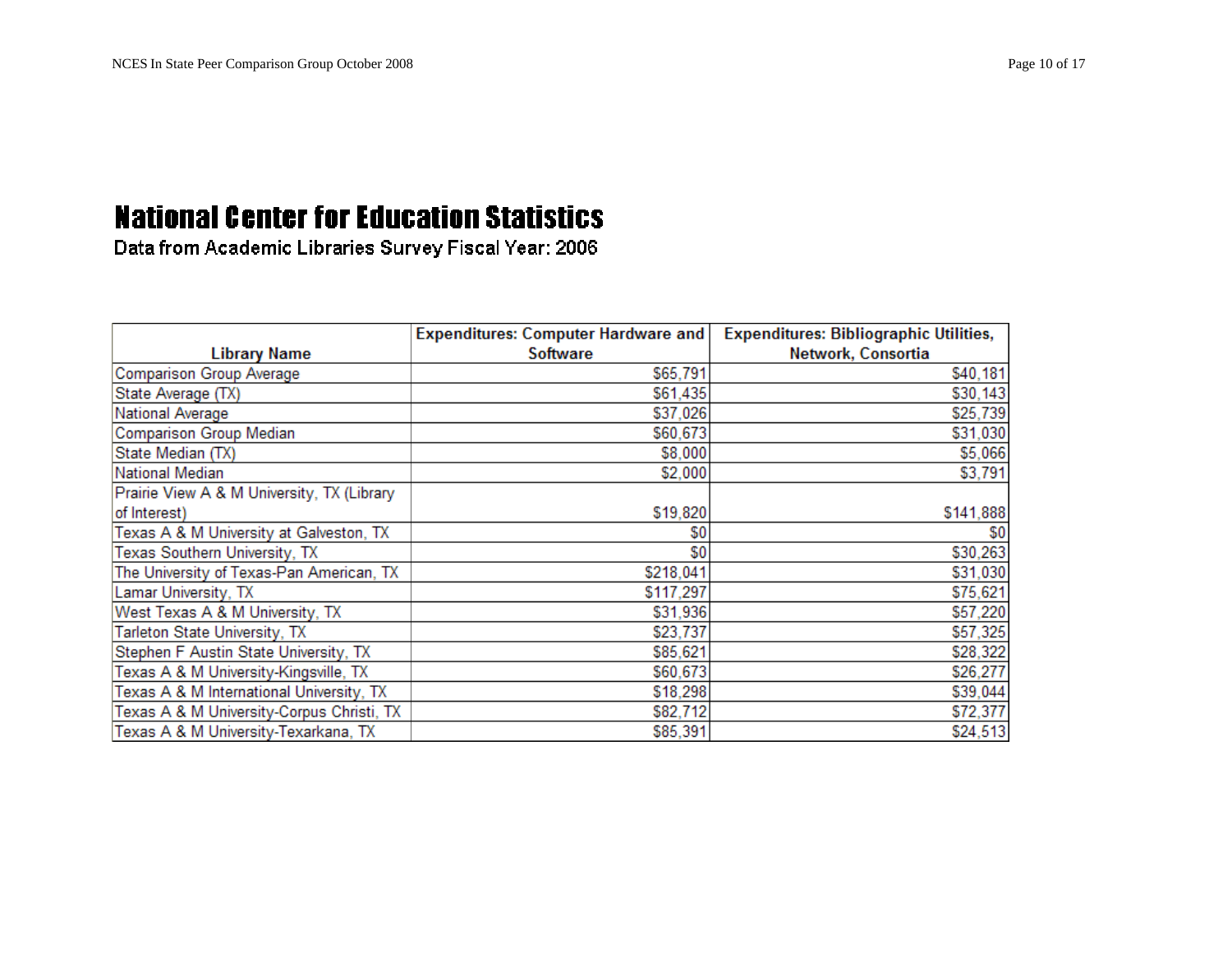|                                            | <b>Expenditures: Computer Hardware and</b> | <b>Expenditures: Bibliographic Utilities,</b> |
|--------------------------------------------|--------------------------------------------|-----------------------------------------------|
| Library Name                               | <b>Software</b>                            | Network, Consortia                            |
| <b>Comparison Group Average</b>            | \$65,791                                   | \$40,181                                      |
| State Average (TX)                         | \$61,435                                   | \$30,143                                      |
| National Average                           | \$37,026                                   | \$25,739                                      |
| <b>Comparison Group Median</b>             | \$60,673                                   | \$31,030                                      |
| State Median (TX)                          | \$8,000                                    | \$5,066                                       |
| National Median                            | \$2,000                                    | \$3,791                                       |
| Prairie View A & M University, TX (Library |                                            |                                               |
| of Interest)                               | \$19,820                                   | \$141,888                                     |
| Texas A & M University at Galveston, TX    | \$0                                        | \$0                                           |
| Texas Southern University, TX              | \$0                                        | \$30,263                                      |
| The University of Texas-Pan American, TX   | \$218,041                                  | \$31,030                                      |
| Lamar University, TX                       | \$117,297                                  | \$75,621                                      |
| West Texas A & M University, TX            | \$31,936                                   | \$57,220                                      |
| Tarleton State University, TX              | \$23,737                                   | \$57,325                                      |
| Stephen F Austin State University, TX      | \$85,621                                   | \$28,322                                      |
| Texas A & M University-Kingsville, TX      | \$60,673                                   | \$26,277                                      |
| Texas A & M International University, TX   | \$18,298                                   | \$39,044                                      |
| Texas A & M University-Corpus Christi, TX  | \$82,712                                   | \$72,377                                      |
| Texas A & M University-Texarkana, TX       | \$85,391                                   | \$24,513                                      |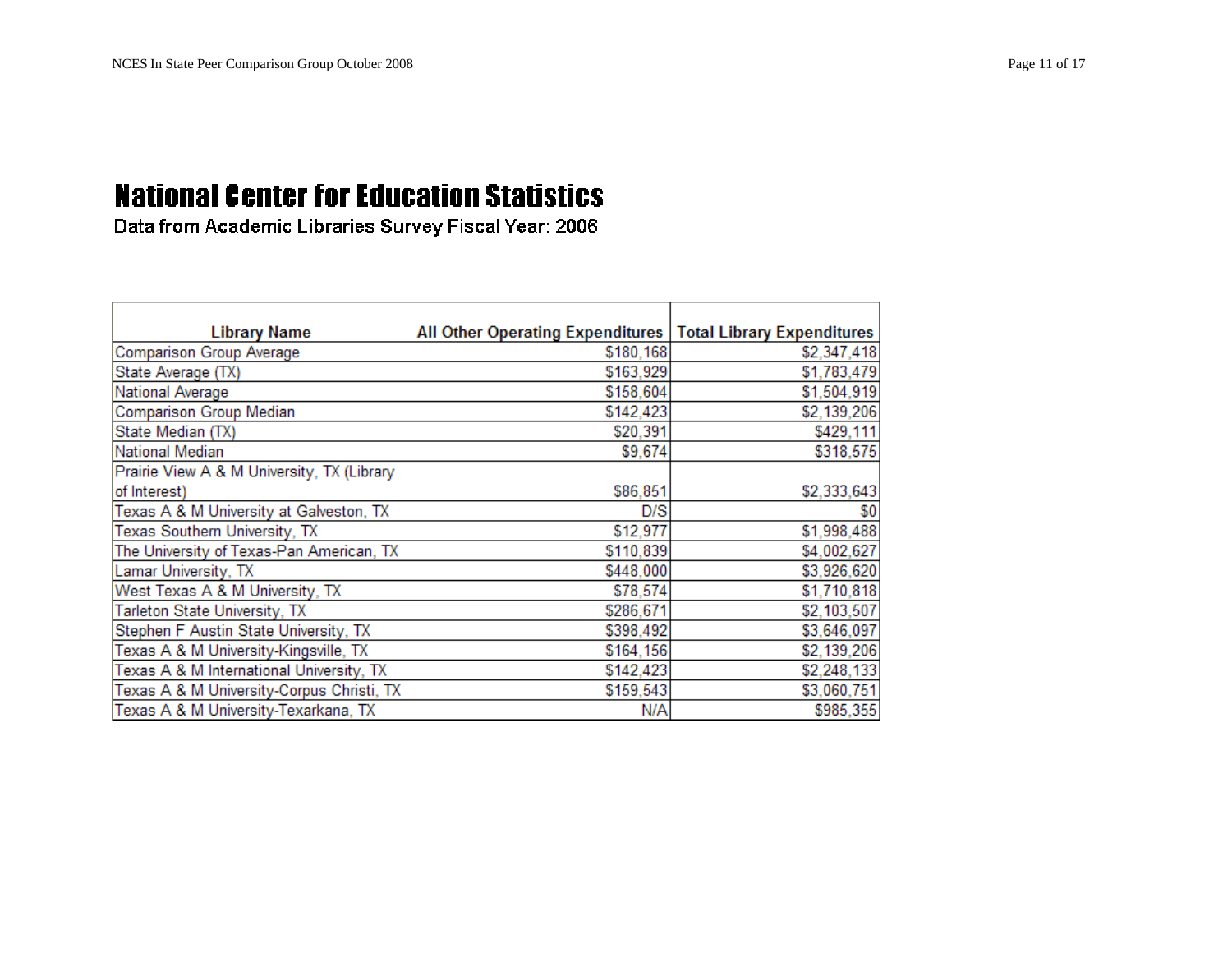| <b>Library Name</b>                        | All Other Operating Expenditures   Total Library Expenditures |             |
|--------------------------------------------|---------------------------------------------------------------|-------------|
| Comparison Group Average                   | \$180,168                                                     | \$2,347,418 |
| State Average (TX)                         | \$163,929                                                     | \$1,783,479 |
| National Average                           | \$158,604                                                     | \$1,504,919 |
| <b>Comparison Group Median</b>             | \$142,423                                                     | \$2,139,206 |
| State Median (TX)                          | \$20,391                                                      | \$429,111   |
| <b>National Median</b>                     | \$9,674                                                       | \$318,575   |
| Prairie View A & M University, TX (Library |                                                               |             |
| of Interest)                               | \$86,851                                                      | \$2,333,643 |
| Texas A & M University at Galveston, TX    | D/S                                                           | \$0         |
| Texas Southern University, TX              | \$12,977                                                      | \$1,998,488 |
| The University of Texas-Pan American, TX   | \$110,839                                                     | \$4,002,627 |
| Lamar University, TX                       | \$448,000                                                     | \$3,926,620 |
| West Texas A & M University, TX            | \$78,574                                                      | \$1,710,818 |
| Tarleton State University, TX              | \$286,671                                                     | \$2,103,507 |
| Stephen F Austin State University, TX      | \$398,492                                                     | \$3,646,097 |
| Texas A & M University-Kingsville, TX      | \$164,156                                                     | \$2,139,206 |
| Texas A & M International University, TX   | \$142,423                                                     | \$2,248,133 |
| Texas A & M University-Corpus Christi, TX  | \$159,543                                                     | \$3,060,751 |
| Texas A & M University-Texarkana, TX       | N/A                                                           | \$985,355   |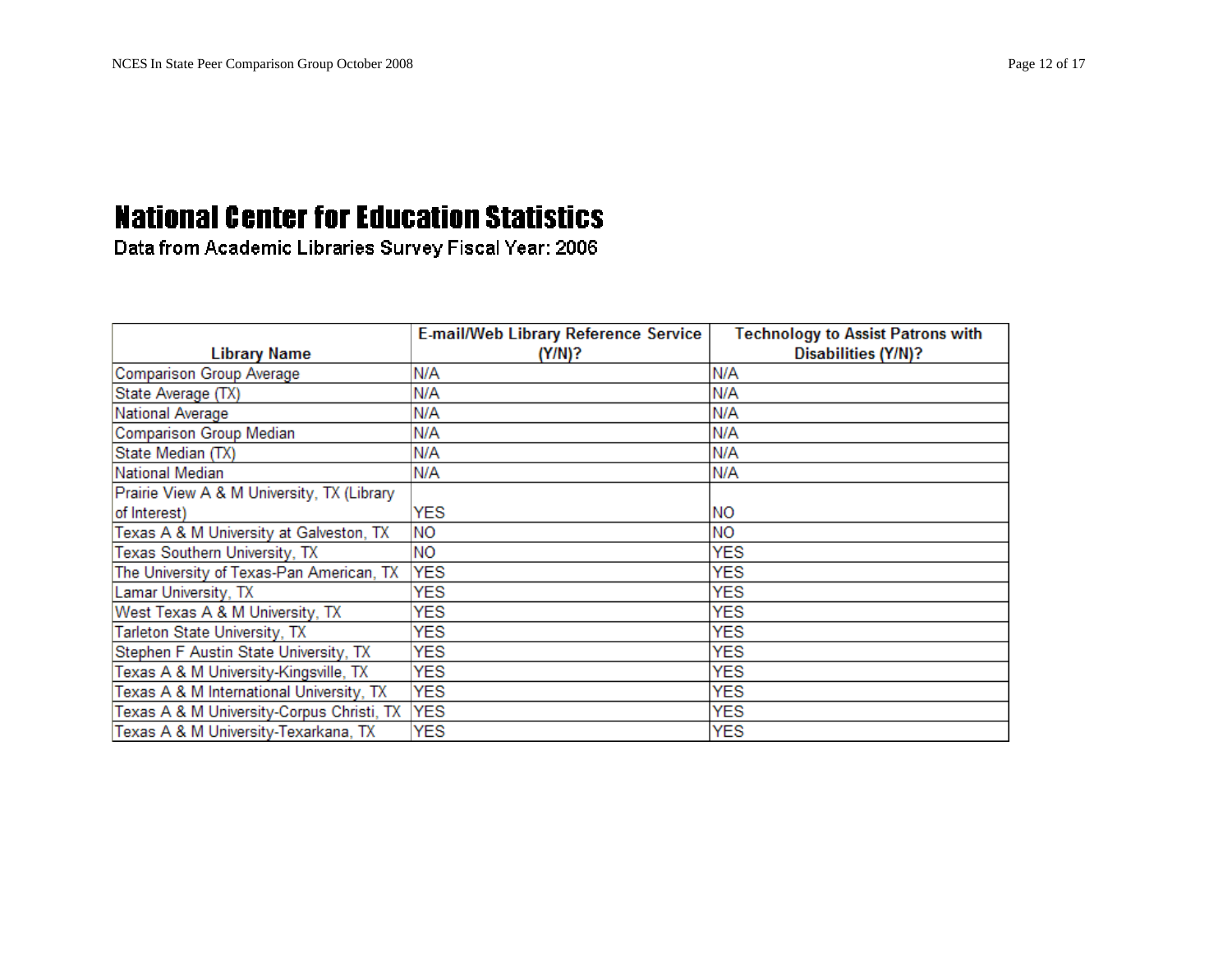|                                            | <b>E-mail/Web Library Reference Service</b> | <b>Technology to Assist Patrons with</b> |
|--------------------------------------------|---------------------------------------------|------------------------------------------|
| <b>Library Name</b>                        | (Y/N)?                                      | <b>Disabilities (Y/N)?</b>               |
| <b>Comparison Group Average</b>            | N/A                                         | N/A                                      |
| State Average (TX)                         | N/A                                         | N/A                                      |
| National Average                           | N/A                                         | N/A                                      |
| Comparison Group Median                    | N/A                                         | N/A                                      |
| State Median (TX)                          | N/A                                         | N/A                                      |
| National Median                            | N/A                                         | N/A                                      |
| Prairie View A & M University, TX (Library |                                             |                                          |
| of Interest)                               | <b>YES</b>                                  | <b>NO</b>                                |
| Texas A & M University at Galveston, TX    | <b>NO</b>                                   | <b>NO</b>                                |
| Texas Southern University, TX              | NO.                                         | <b>YES</b>                               |
| The University of Texas-Pan American, TX   | <b>YES</b>                                  | <b>YES</b>                               |
| Lamar University, TX                       | <b>YES</b>                                  | <b>YES</b>                               |
| West Texas A & M University, TX            | <b>YES</b>                                  | <b>YES</b>                               |
| Tarleton State University, TX              | <b>YES</b>                                  | <b>YES</b>                               |
| Stephen F Austin State University, TX      | YES                                         | <b>YES</b>                               |
| Texas A & M University-Kingsville, TX      | <b>YES</b>                                  | <b>YES</b>                               |
| Texas A & M International University, TX   | <b>YES</b>                                  | <b>YES</b>                               |
| Texas A & M University-Corpus Christi, TX  | <b>YES</b>                                  | <b>YES</b>                               |
| Texas A & M University-Texarkana, TX       | <b>YES</b>                                  | <b>YES</b>                               |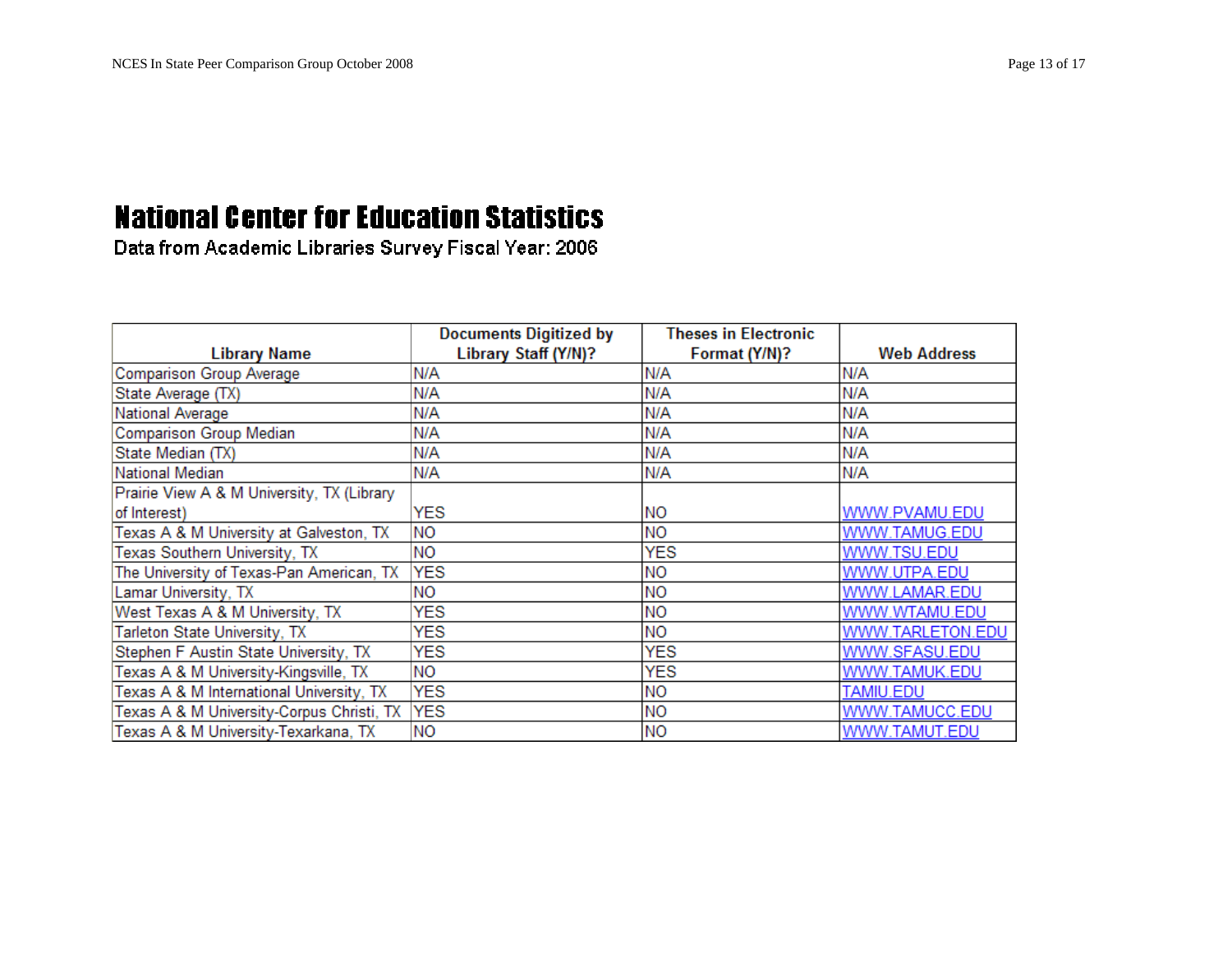|                                            | <b>Documents Digitized by</b> | <b>Theses in Electronic</b> |                    |
|--------------------------------------------|-------------------------------|-----------------------------|--------------------|
| <b>Library Name</b>                        | Library Staff (Y/N)?          | Format (Y/N)?               | <b>Web Address</b> |
| Comparison Group Average                   | N/A                           | N/A                         | N/A                |
| State Average (TX)                         | N/A                           | N/A                         | N/A                |
| National Average                           | N/A                           | N/A                         | N/A                |
| <b>Comparison Group Median</b>             | N/A                           | N/A                         | N/A                |
| State Median (TX)                          | N/A                           | N/A                         | N/A                |
| National Median                            | N/A                           | N/A                         | N/A                |
| Prairie View A & M University, TX (Library |                               |                             |                    |
| of Interest)                               | <b>YES</b>                    | <b>NO</b>                   | WWW.PVAMU.EDU      |
| Texas A & M University at Galveston, TX    | <b>NO</b>                     | <b>NO</b>                   | WWW.TAMUG.EDU      |
| Texas Southern University, TX              | <b>NO</b>                     | <b>YES</b>                  | WWW.TSU.EDU        |
| The University of Texas-Pan American, TX   | <b>YES</b>                    | <b>NO</b>                   | WWW.UTPA.EDU       |
| Lamar University, TX                       | <b>NO</b>                     | <b>NO</b>                   | WWW.LAMAR.EDU      |
| West Texas A & M University, TX            | <b>YES</b>                    | <b>NO</b>                   | WWW.WTAMU.EDU      |
| Tarleton State University, TX              | YES                           | <b>NO</b>                   | WWW.TARLETON.EDU   |
| Stephen F Austin State University, TX      | <b>YES</b>                    | <b>YES</b>                  | WWW.SFASU.EDU      |
| Texas A & M University-Kingsville, TX      | <b>NO</b>                     | <b>YES</b>                  | WWW.TAMUK.EDU      |
| Texas A & M International University, TX   | <b>YES</b>                    | <b>NO</b>                   | TAMIU.EDU          |
| Texas A & M University-Corpus Christi, TX  | <b>YES</b>                    | <b>NO</b>                   | WWW.TAMUCC.EDU     |
| Texas A & M University-Texarkana, TX       | <b>NO</b>                     | <b>NO</b>                   | WWW.TAMUT.EDU      |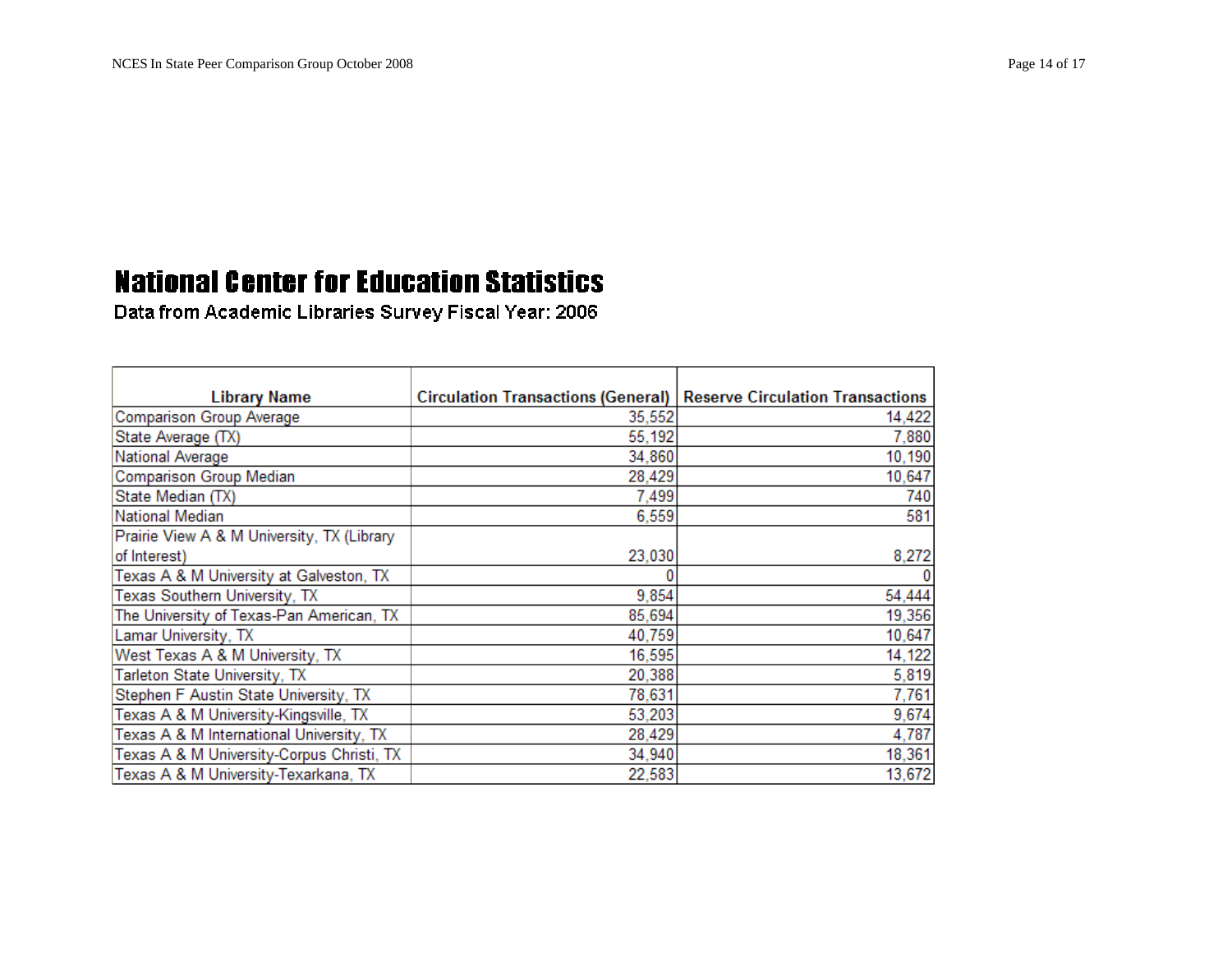| <b>Library Name</b>                        | Circulation Transactions (General)   Reserve Circulation Transactions |        |
|--------------------------------------------|-----------------------------------------------------------------------|--------|
| <b>Comparison Group Average</b>            | 35,552                                                                | 14,422 |
| State Average (TX)                         | 55,192                                                                | 7,880  |
| National Average                           | 34,860                                                                | 10,190 |
| <b>Comparison Group Median</b>             | 28,429                                                                | 10,647 |
| State Median (TX)                          | 7,499                                                                 | 740    |
| National Median                            | 6,559                                                                 | 581    |
| Prairie View A & M University, TX (Library |                                                                       |        |
| of Interest)                               | 23,030                                                                | 8,272  |
| Texas A & M University at Galveston, TX    |                                                                       |        |
| Texas Southern University, TX              | 9,854                                                                 | 54,444 |
| The University of Texas-Pan American, TX   | 85,694                                                                | 19,356 |
| Lamar University, TX                       | 40,759                                                                | 10,647 |
| West Texas A & M University, TX            | 16,595                                                                | 14,122 |
| Tarleton State University, TX              | 20,388                                                                | 5,819  |
| Stephen F Austin State University, TX      | 78,631                                                                | 7,761  |
| Texas A & M University-Kingsville, TX      | 53,203                                                                | 9,674  |
| Texas A & M International University, TX   | 28,429                                                                | 4,787  |
| Texas A & M University-Corpus Christi, TX  | 34,940                                                                | 18,361 |
| Texas A & M University-Texarkana, TX       | 22,583                                                                | 13,672 |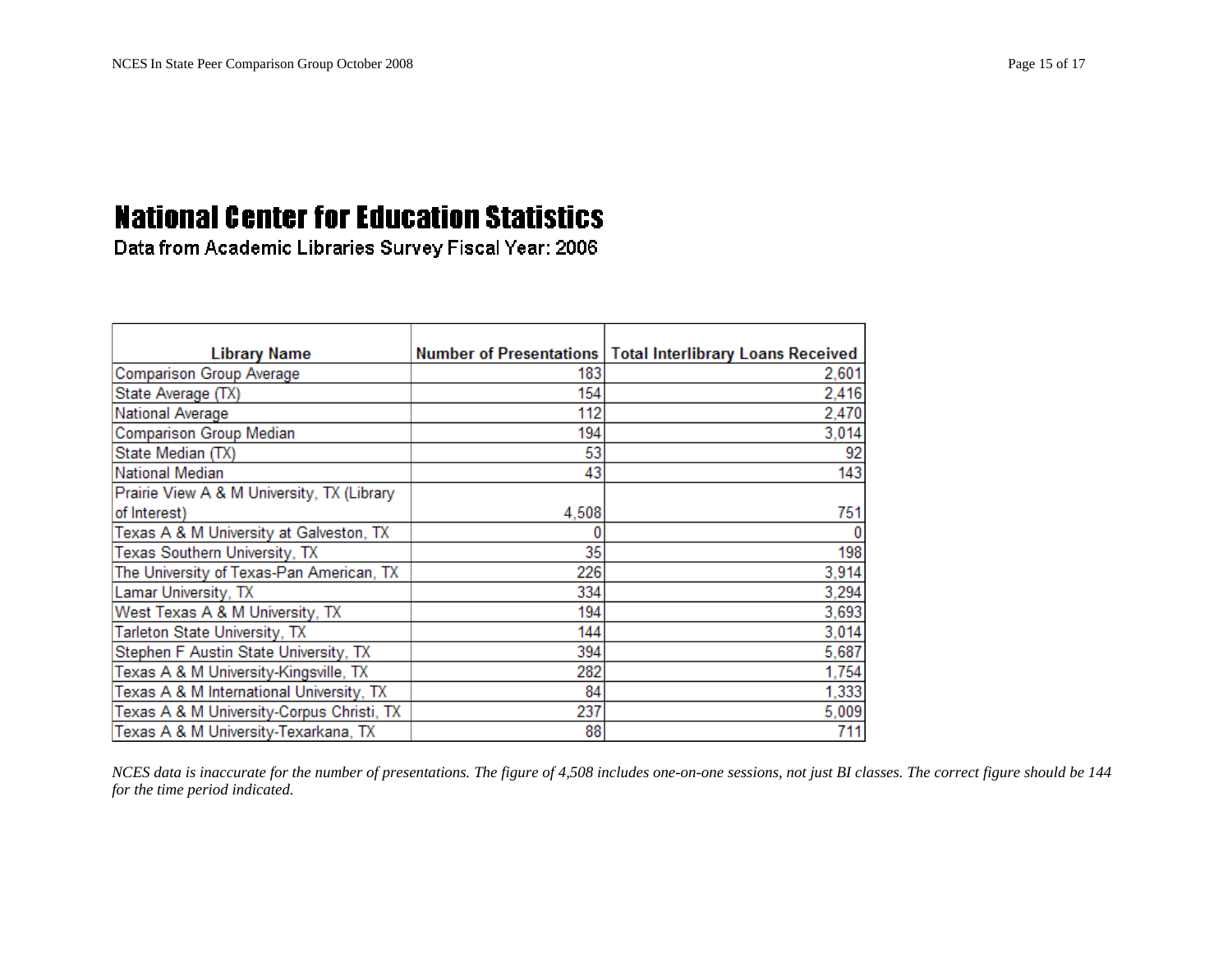Data from Academic Libraries Survey Fiscal Year: 2006

| <b>Library Name</b>                        |       | Number of Presentations   Total Interlibrary Loans Received |
|--------------------------------------------|-------|-------------------------------------------------------------|
| <b>Comparison Group Average</b>            | 183   | 2,601                                                       |
| State Average (TX)                         | 154   | 2,416                                                       |
| National Average                           | 112   | 2,470                                                       |
| Comparison Group Median                    | 194   | 3,014                                                       |
| State Median (TX)                          | 53    | 92                                                          |
| National Median                            | 43    | 143                                                         |
| Prairie View A & M University, TX (Library |       |                                                             |
| of Interest)                               | 4,508 | 751                                                         |
| Texas A & M University at Galveston, TX    |       |                                                             |
| Texas Southern University, TX              | 35    | 198                                                         |
| The University of Texas-Pan American, TX   | 226   | 3,914                                                       |
| Lamar University, TX                       | 334   | 3,294                                                       |
| West Texas A & M University, TX            | 194   | 3,693                                                       |
| Tarleton State University, TX              | 144   | 3,014                                                       |
| Stephen F Austin State University, TX      | 394   | 5,687                                                       |
| Texas A & M University-Kingsville, TX      | 282   | 1,754                                                       |
| Texas A & M International University, TX   | 84    | 1,333                                                       |
| Texas A & M University-Corpus Christi, TX  | 237   | 5,009                                                       |
| Texas A & M University-Texarkana, TX       | 88    | 711                                                         |

*NCES data is inaccurate for the number of presentations. The figure of 4,508 includes one-on-one sessions, not just BI classes. The correct figure should be 144 for the time period indicated.*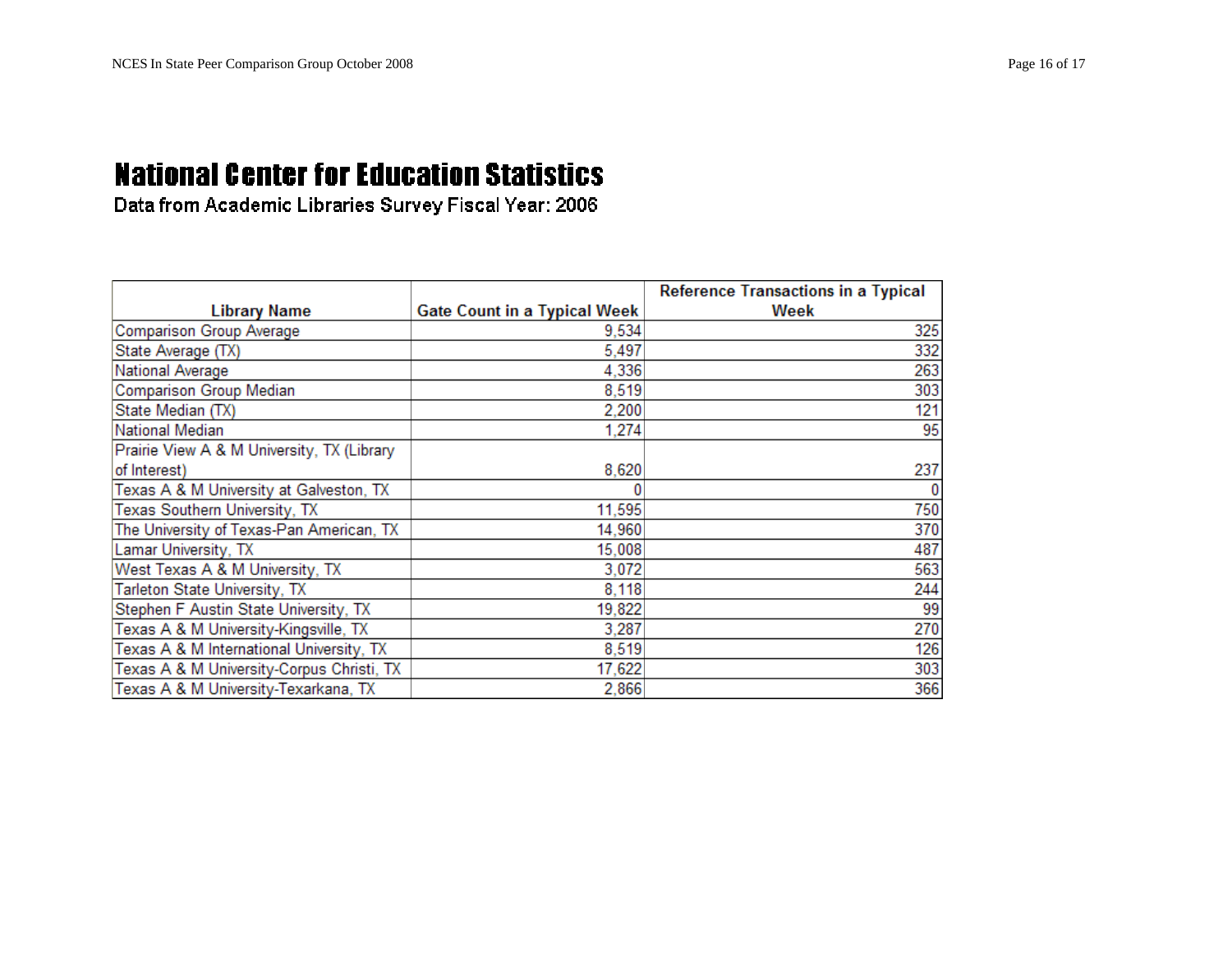|                                            |                                     | <b>Reference Transactions in a Typical</b> |
|--------------------------------------------|-------------------------------------|--------------------------------------------|
| <b>Library Name</b>                        | <b>Gate Count in a Typical Week</b> | Week                                       |
| Comparison Group Average                   | 9,534                               | 325                                        |
| State Average (TX)                         | 5,497                               | 332                                        |
| <b>National Average</b>                    | 4,336                               | 263                                        |
| Comparison Group Median                    | 8,519                               | 303                                        |
| State Median (TX)                          | 2,200                               | 121                                        |
| National Median                            | 1,274                               | 95                                         |
| Prairie View A & M University, TX (Library |                                     |                                            |
| of Interest)                               | 8,620                               | 237                                        |
| Texas A & M University at Galveston, TX    |                                     | $\bf{0}$                                   |
| Texas Southern University, TX              | 11,595                              | 750                                        |
| The University of Texas-Pan American, TX   | 14,960                              | 370                                        |
| Lamar University, TX                       | 15,008                              | 487                                        |
| West Texas A & M University, TX            | 3,072                               | 563                                        |
| Tarleton State University, TX              | 8,118                               | 244                                        |
| Stephen F Austin State University, TX      | 19,822                              | 99                                         |
| Texas A & M University-Kingsville, TX      | 3,287                               | 270                                        |
| Texas A & M International University, TX   | 8,519                               | 126                                        |
| Texas A & M University-Corpus Christi, TX  | 17,622                              | 303                                        |
| Texas A & M University-Texarkana, TX       | 2,866                               | 366                                        |